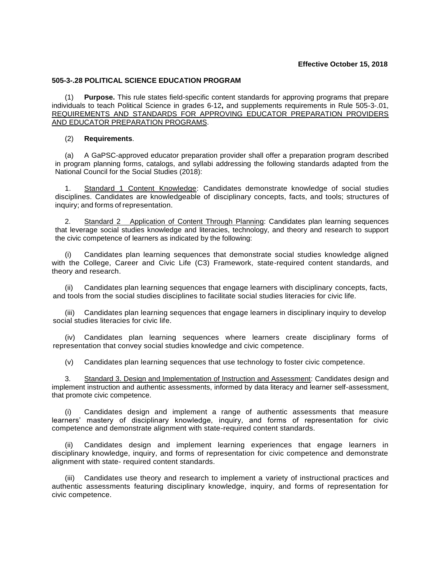## **Effective October 15, 2018**

## **505-3-.28 POLITICAL SCIENCE EDUCATION PROGRAM**

(1) **Purpose.** This rule states field-specific content standards for approving programs that prepare individuals to teach Political Science in grades 6-12**,** and supplements requirements in Rule 505-3-.01, REQUIREMENTS AND STANDARDS FOR APPROVING EDUCATOR PREPARATION PROVIDERS AND EDUCATOR PREPARATION PROGRAMS.

## (2) **Requirements**.

(a) A GaPSC-approved educator preparation provider shall offer a preparation program described in program planning forms, catalogs, and syllabi addressing the following standards adapted from the National Council for the Social Studies (2018):

1. Standard 1 Content Knowledge: Candidates demonstrate knowledge of social studies disciplines. Candidates are knowledgeable of disciplinary concepts, facts, and tools; structures of inquiry; and forms of representation.

2. Standard 2 Application of Content Through Planning: Candidates plan learning sequences that leverage social studies knowledge and literacies, technology, and theory and research to support the civic competence of learners as indicated by the following:

Candidates plan learning sequences that demonstrate social studies knowledge aligned with the College, Career and Civic Life (C3) Framework, state-required content standards, and theory and research.

Candidates plan learning sequences that engage learners with disciplinary concepts, facts, and tools from the social studies disciplines to facilitate social studies literacies for civic life.

(iii) Candidates plan learning sequences that engage learners in disciplinary inquiry to develop social studies literacies for civic life.

(iv) Candidates plan learning sequences where learners create disciplinary forms of representation that convey social studies knowledge and civic competence.

(v) Candidates plan learning sequences that use technology to foster civic competence.

3. Standard 3. Design and Implementation of Instruction and Assessment: Candidates design and implement instruction and authentic assessments, informed by data literacy and learner self-assessment, that promote civic competence.

(i) Candidates design and implement a range of authentic assessments that measure learners' mastery of disciplinary knowledge, inquiry, and forms of representation for civic competence and demonstrate alignment with state-required content standards.

(ii) Candidates design and implement learning experiences that engage learners in disciplinary knowledge, inquiry, and forms of representation for civic competence and demonstrate alignment with state- required content standards.

(iii) Candidates use theory and research to implement a variety of instructional practices and authentic assessments featuring disciplinary knowledge, inquiry, and forms of representation for civic competence.